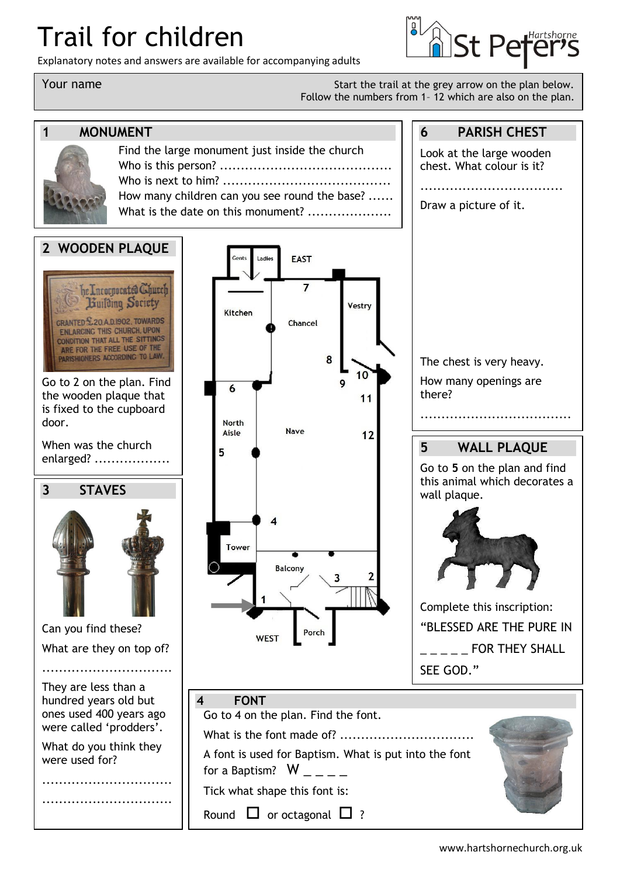# Trail for children

Explanatory notes and answers are available for accompanying adults

**6 PARISH CHEST**

Look at the large wooden chest. What colour is it?

..................................

Your name Start the trail at the grey arrow on the plan below. Follow the numbers from 1– 12 which are also on the plan.



## **1 MONUMENT**

| Find the large monument just inside the church |
|------------------------------------------------|
|                                                |
|                                                |
| How many children can you see round the base?  |
| What is the date on this monument?             |
|                                                |

Ladies

**EAST** 

### **2 WOODEN PLAQUE**

he Incorporated Church Building Society **CRANTED £20.A.D.1902, TOWARDS ENLARCING THIS CHURCH, UPON** CONDITION THAT ALL THE SITTINGS ARE FOR THE FREE USE OF THE ARISHIONERS ACCORDING TO LAW.

Go to 2 on the plan. Find the wooden plaque that is fixed to the cupboard door.

When was the church enlarged? ..................

# **3 STAVES**



Can you find these? What are they on top of?

...............................

They are less than a hundred years old but ones used 400 years ago were called 'prodders'.

What do you think they were used for?

............................... ...............................

 $\overline{7}$ Vestry Kitchen Chancel 8  $10$  $\overline{9}$ 6  $11$ **North** Nave Aisle  $12$ 5 4 Tower Balcony Porch **WEST 4 FONT**

Go to 4 on the plan. Find the font.

What is the font made of? ................................

A font is used for Baptism. What is put into the font

 $\overline{2}$ 

for a Baptism?  $W_{- - -}$ 

Tick what shape this font is:

Round  $\Box$  or octagonal  $\Box$  ?





Complete this inscription: "BLESSED ARE THE PURE IN FOR THEY SHALL SEE GOD."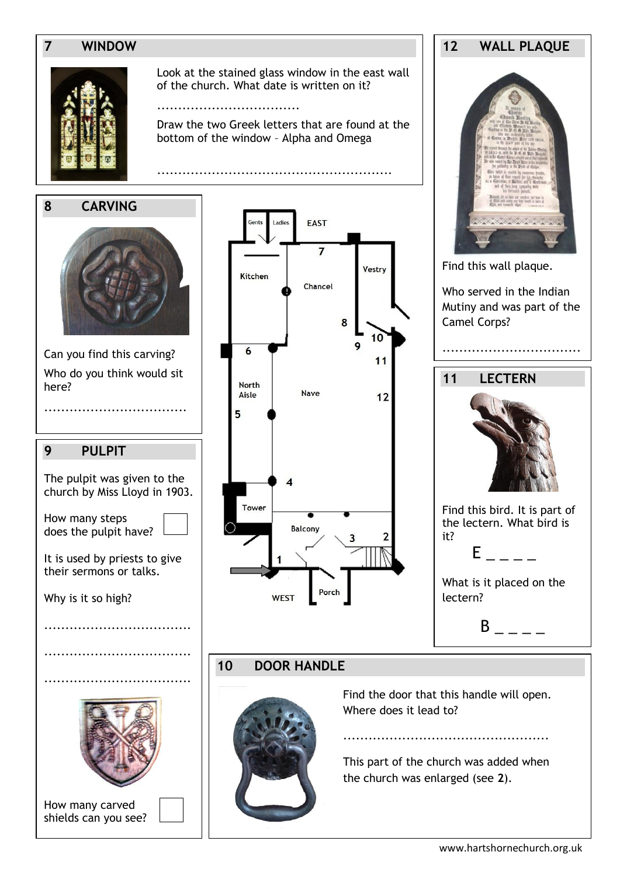### **7 WINDOW**



Look at the stained glass window in the east wall of the church. What date is written on it?

..................................

Draw the two Greek letters that are found at the bottom of the window – Alpha and Omega

**8 CARVING**



Can you find this carving? Who do you think would sit here?

..................................

### **9 PULPIT**

The pulpit was given to the church by Miss Lloyd in 1903.

How many steps does the pulpit have?

It is used by priests to give their sermons or talks.

...................................

...................................

...................................

Why is it so high?



How many carved shields can you see?



# **12 WALL PLAQUE**

Find this wall plaque.

Who served in the Indian Mutiny and was part of the Camel Corps?

.................................

.



Find this bird. It is part of the lectern. What bird is it?



What is it placed on the lectern?

 $B$  \_ \_ \_ \_

**10 DOOR HANDLE**



Find the door that this handle will open. Where does it lead to?

This part of the church was added when the church was enlarged (see **2**).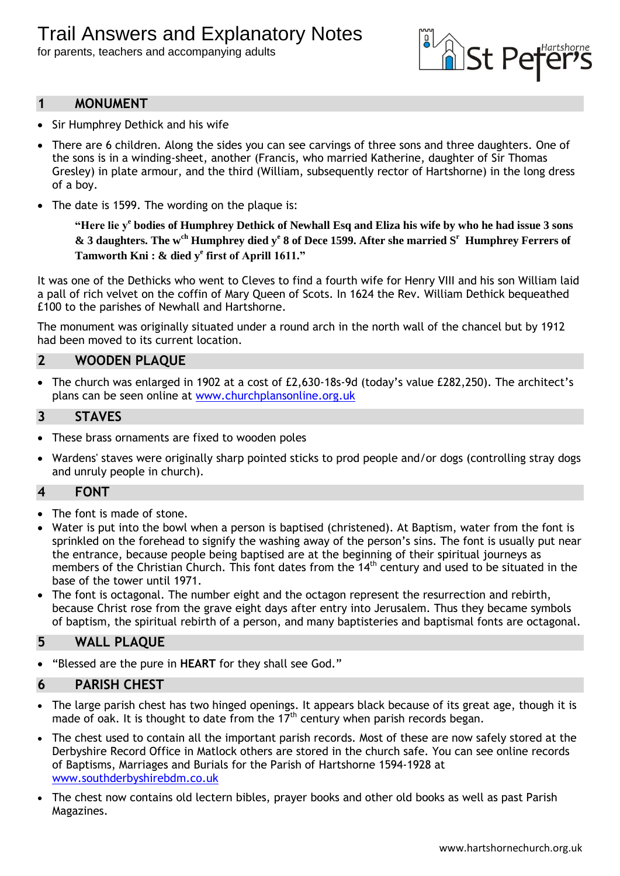for parents, teachers and accompanying adults



### **1 MONUMENT**

- Sir Humphrey Dethick and his wife
- There are 6 children. Along the sides you can see carvings of three sons and three daughters. One of the sons is in a winding-sheet, another (Francis, who married Katherine, daughter of Sir Thomas Gresley) in plate armour, and the third (William, subsequently rector of Hartshorne) in the long dress of a boy.
- The date is 1599. The wording on the plaque is:

**"Here lie y<sup>e</sup> bodies of Humphrey Dethick of Newhall Esq and Eliza his wife by who he had issue 3 sons & 3 daughters. The wch Humphrey died y<sup>e</sup> 8 of Dece 1599. After she married S<sup>r</sup> Humphrey Ferrers of Tamworth Kni : & died y<sup>e</sup> first of Aprill 1611."**

It was one of the Dethicks who went to Cleves to find a fourth wife for Henry VIII and his son William laid a pall of rich velvet on the coffin of Mary Queen of Scots. In 1624 the Rev. William Dethick bequeathed £100 to the parishes of Newhall and Hartshorne.

The monument was originally situated under a round arch in the north wall of the chancel but by 1912 had been moved to its current location.

### **2 WOODEN PLAQUE**

 The church was enlarged in 1902 at a cost of £2,630-18s-9d (today's value £282,250). The architect's plans can be seen online at [www.churchplansonline.org.uk](http://www.churchplansonline.org.uk/)

### **3 STAVES**

- These brass ornaments are fixed to wooden poles
- Wardens' staves were originally sharp pointed sticks to prod people and/or dogs (controlling stray dogs and unruly people in church).

### **4 FONT**

- The font is made of stone.
- Water is put into the bowl when a person is baptised (christened). At Baptism, water from the font is sprinkled on the forehead to signify the washing away of the person's sins. The font is usually put near the entrance, because people being baptised are at the beginning of their spiritual journeys as members of the Christian Church. This font dates from the 14<sup>th</sup> century and used to be situated in the base of the tower until 1971.
- The font is octagonal. The number eight and the octagon represent the resurrection and rebirth, because Christ rose from the grave eight days after entry into Jerusalem. Thus they became symbols of baptism, the spiritual rebirth of a person, and many baptisteries and baptismal fonts are octagonal.

### **5 WALL PLAQUE**

"Blessed are the pure in **HEART** for they shall see God."

### **6 PARISH CHEST**

- The large parish chest has two hinged openings. It appears black because of its great age, though it is made of oak. It is thought to date from the  $17<sup>th</sup>$  century when parish records began.
- The chest used to contain all the important parish records. Most of these are now safely stored at the Derbyshire Record Office in Matlock others are stored in the church safe. You can see online records of Baptisms, Marriages and Burials for the Parish of Hartshorne 1594-1928 at [www.southderbyshirebdm.co.uk](http://www.southderbyshirebdm.co.uk/)
- The chest now contains old lectern bibles, prayer books and other old books as well as past Parish Magazines.